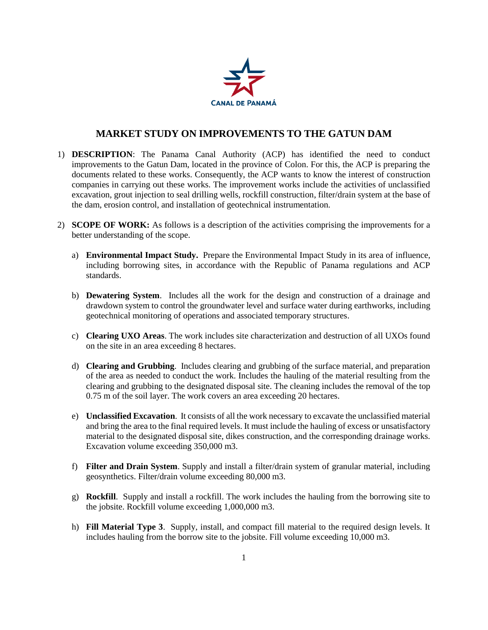

## **MARKET STUDY ON IMPROVEMENTS TO THE GATUN DAM**

- 1) **DESCRIPTION**: The Panama Canal Authority (ACP) has identified the need to conduct improvements to the Gatun Dam, located in the province of Colon. For this, the ACP is preparing the documents related to these works. Consequently, the ACP wants to know the interest of construction companies in carrying out these works. The improvement works include the activities of unclassified excavation, grout injection to seal drilling wells, rockfill construction, filter/drain system at the base of the dam, erosion control, and installation of geotechnical instrumentation.
- 2) **SCOPE OF WORK:** As follows is a description of the activities comprising the improvements for a better understanding of the scope.
	- a) **Environmental Impact Study.** Prepare the Environmental Impact Study in its area of influence, including borrowing sites, in accordance with the Republic of Panama regulations and ACP standards.
	- b) **Dewatering System**. Includes all the work for the design and construction of a drainage and drawdown system to control the groundwater level and surface water during earthworks, including geotechnical monitoring of operations and associated temporary structures.
	- c) **Clearing UXO Areas**. The work includes site characterization and destruction of all UXOs found on the site in an area exceeding 8 hectares.
	- d) **Clearing and Grubbing**. Includes clearing and grubbing of the surface material, and preparation of the area as needed to conduct the work. Includes the hauling of the material resulting from the clearing and grubbing to the designated disposal site. The cleaning includes the removal of the top 0.75 m of the soil layer. The work covers an area exceeding 20 hectares.
	- e) **Unclassified Excavation**. It consists of all the work necessary to excavate the unclassified material and bring the area to the final required levels. It must include the hauling of excess or unsatisfactory material to the designated disposal site, dikes construction, and the corresponding drainage works. Excavation volume exceeding 350,000 m3.
	- f) **Filter and Drain System**. Supply and install a filter/drain system of granular material, including geosynthetics. Filter/drain volume exceeding 80,000 m3.
	- g) **Rockfill**. Supply and install a rockfill. The work includes the hauling from the borrowing site to the jobsite. Rockfill volume exceeding 1,000,000 m3.
	- h) **Fill Material Type 3**. Supply, install, and compact fill material to the required design levels. It includes hauling from the borrow site to the jobsite. Fill volume exceeding 10,000 m3.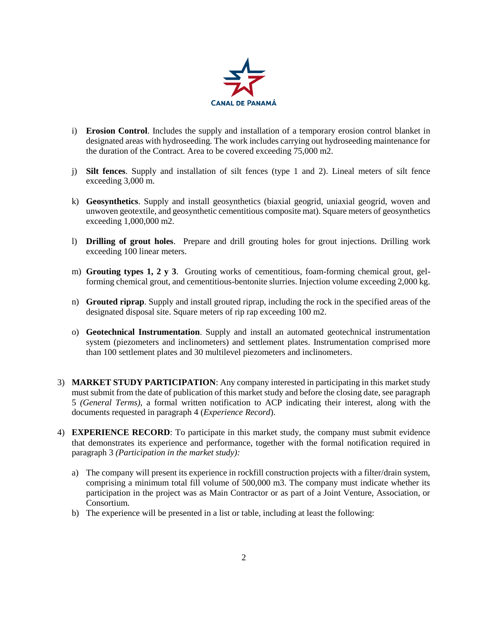

- i) **Erosion Control**. Includes the supply and installation of a temporary erosion control blanket in designated areas with hydroseeding. The work includes carrying out hydroseeding maintenance for the duration of the Contract. Area to be covered exceeding 75,000 m2.
- j) **Silt fences**. Supply and installation of silt fences (type 1 and 2). Lineal meters of silt fence exceeding 3,000 m.
- k) **Geosynthetics**. Supply and install geosynthetics (biaxial geogrid, uniaxial geogrid, woven and unwoven geotextile, and geosynthetic cementitious composite mat). Square meters of geosynthetics exceeding 1,000,000 m2.
- l) **Drilling of grout holes**. Prepare and drill grouting holes for grout injections. Drilling work exceeding 100 linear meters.
- m) **Grouting types 1, 2 y 3**. Grouting works of cementitious, foam-forming chemical grout, gelforming chemical grout, and cementitious-bentonite slurries. Injection volume exceeding 2,000 kg.
- n) **Grouted riprap**. Supply and install grouted riprap, including the rock in the specified areas of the designated disposal site. Square meters of rip rap exceeding 100 m2.
- o) **Geotechnical Instrumentation**. Supply and install an automated geotechnical instrumentation system (piezometers and inclinometers) and settlement plates. Instrumentation comprised more than 100 settlement plates and 30 multilevel piezometers and inclinometers.
- 3) **MARKET STUDY PARTICIPATION**: Any company interested in participating in this market study must submit from the date of publication of this market study and before the closing date, see paragraph 5 *(General Terms)*, a formal written notification to ACP indicating their interest, along with the documents requested in paragraph 4 (*Experience Record*).
- 4) **EXPERIENCE RECORD**: To participate in this market study, the company must submit evidence that demonstrates its experience and performance, together with the formal notification required in paragraph 3 *(Participation in the market study):*
	- a) The company will present its experience in rockfill construction projects with a filter/drain system, comprising a minimum total fill volume of 500,000 m3. The company must indicate whether its participation in the project was as Main Contractor or as part of a Joint Venture, Association, or Consortium.
	- b) The experience will be presented in a list or table, including at least the following: